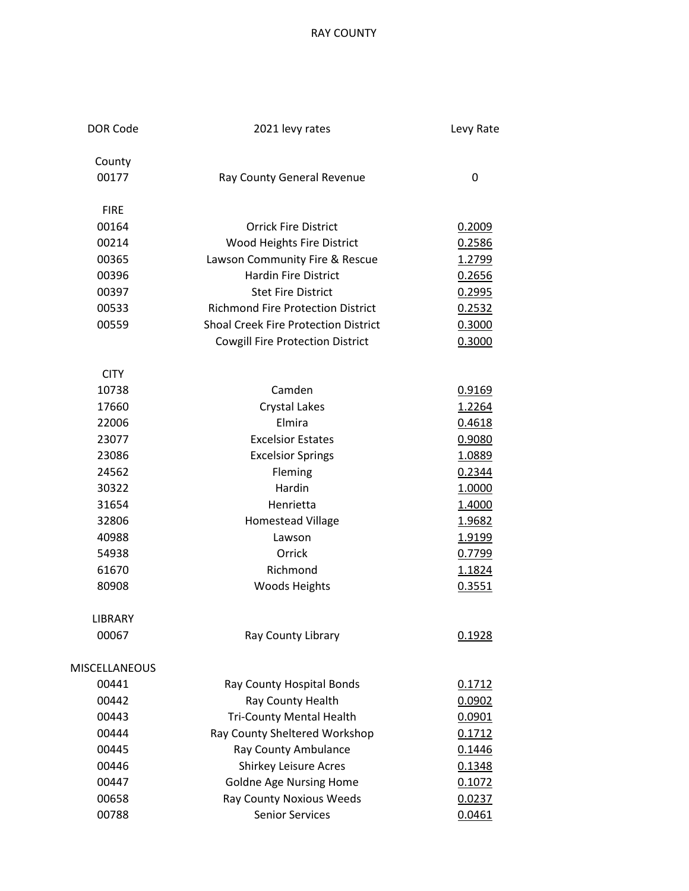RAY COUNTY

| <b>DOR Code</b>      | 2021 levy rates                             | Levy Rate     |
|----------------------|---------------------------------------------|---------------|
| County               |                                             |               |
| 00177                | Ray County General Revenue                  | 0             |
| <b>FIRE</b>          |                                             |               |
| 00164                | <b>Orrick Fire District</b>                 | 0.2009        |
| 00214                | Wood Heights Fire District                  | 0.2586        |
| 00365                | Lawson Community Fire & Rescue              | 1.2799        |
| 00396                | <b>Hardin Fire District</b>                 | 0.2656        |
| 00397                | <b>Stet Fire District</b>                   | 0.2995        |
| 00533                | <b>Richmond Fire Protection District</b>    | 0.2532        |
| 00559                | <b>Shoal Creek Fire Protection District</b> | 0.3000        |
|                      | <b>Cowgill Fire Protection District</b>     | 0.3000        |
| <b>CITY</b>          |                                             |               |
| 10738                | Camden                                      | 0.9169        |
| 17660                | <b>Crystal Lakes</b>                        | 1.2264        |
| 22006                | Elmira                                      | 0.4618        |
| 23077                | <b>Excelsior Estates</b>                    | 0.9080        |
| 23086                | <b>Excelsior Springs</b>                    | <u>1.0889</u> |
| 24562                | Fleming                                     | 0.2344        |
| 30322                | Hardin                                      | 1.0000        |
| 31654                | Henrietta                                   | 1.4000        |
| 32806                | <b>Homestead Village</b>                    | <u>1.9682</u> |
| 40988                | Lawson                                      | <u>1.9199</u> |
| 54938                | Orrick                                      | 0.7799        |
| 61670                | Richmond                                    | 1.1824        |
| 80908                | <b>Woods Heights</b>                        | 0.3551        |
| <b>LIBRARY</b>       |                                             |               |
| 00067                | Ray County Library                          | 0.1928        |
| <b>MISCELLANEOUS</b> |                                             |               |
| 00441                | Ray County Hospital Bonds                   | 0.1712        |
| 00442                | Ray County Health                           | 0.0902        |
| 00443                | <b>Tri-County Mental Health</b>             | 0.0901        |
| 00444                | Ray County Sheltered Workshop               | 0.1712        |
| 00445                | Ray County Ambulance                        | 0.1446        |
| 00446                | <b>Shirkey Leisure Acres</b>                | 0.1348        |
| 00447                | <b>Goldne Age Nursing Home</b>              | 0.1072        |
| 00658                | Ray County Noxious Weeds                    | 0.0237        |
| 00788                | <b>Senior Services</b>                      | 0.0461        |